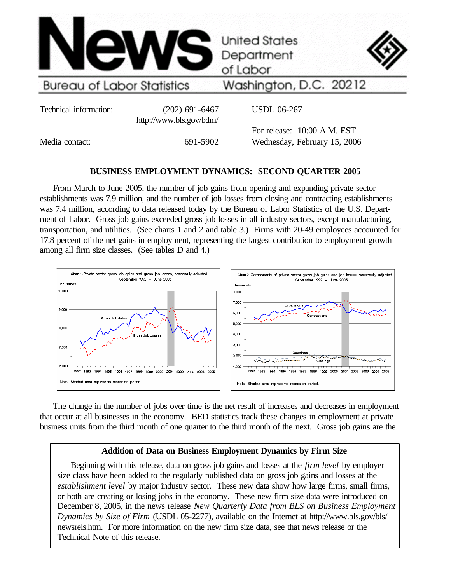

Washington, D.C. 20212

> For release: 10:00 A.M. EST Wednesday, February 15, 2006

Technical information: (202) 691-6467 http://www.bls.gov/bdm/ USDL 06-267

Media contact: 691-5902

# **BUSINESS EMPLOYMENT DYNAMICS: SECOND QUARTER 2005**

From March to June 2005, the number of job gains from opening and expanding private sector establishments was 7.9 million, and the number of job losses from closing and contracting establishments was 7.4 million, according to data released today by the Bureau of Labor Statistics of the U.S. Department of Labor. Gross job gains exceeded gross job losses in all industry sectors, except manufacturing, transportation, and utilities. (See charts 1 and 2 and table 3.) Firms with 20-49 employees accounted for 17.8 percent of the net gains in employment, representing the largest contribution to employment growth among all firm size classes. (See tables D and 4.)



The change in the number of jobs over time is the net result of increases and decreases in employment that occur at all businesses in the economy. BED statistics track these changes in employment at private business units from the third month of one quarter to the third month of the next. Gross job gains are the

## **Addition of Data on Business Employment Dynamics by Firm Size**

Beginning with this release, data on gross job gains and losses at the *firm level* by employer size class have been added to the regularly published data on gross job gains and losses at the *establishment level* by major industry sector. These new data show how large firms, small firms, or both are creating or losing jobs in the economy. These new firm size data were introduced on December 8, 2005, in the news release *New Quarterly Data from BLS on Business Employment Dynamics by Size of Firm* (USDL 05-2277), available on the Internet at http://www.bls.gov/bls/ newsrels.htm. For more information on the new firm size data, see that news release or the Technical Note of this release.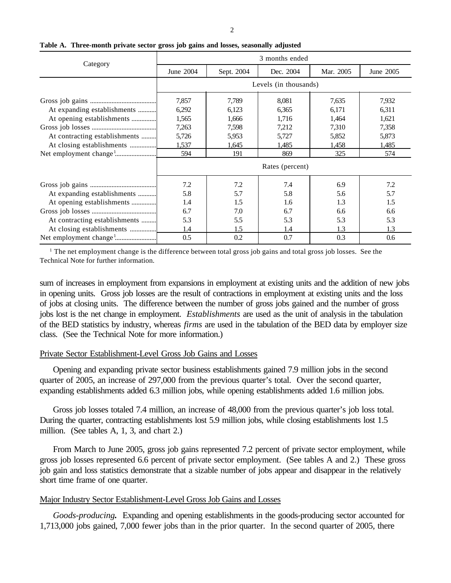| ٠ |
|---|
| I |
| I |
|   |

|                               | 3 months ended  |                                      |                       |       |       |  |  |  |  |  |
|-------------------------------|-----------------|--------------------------------------|-----------------------|-------|-------|--|--|--|--|--|
| Category                      | June 2004       | Dec. 2004<br>Sept. 2004<br>Mar. 2005 |                       |       |       |  |  |  |  |  |
|                               |                 |                                      | Levels (in thousands) |       |       |  |  |  |  |  |
|                               | 7,857           | 7,789                                | 8,081                 | 7,635 | 7,932 |  |  |  |  |  |
| At expanding establishments   | 6,292           | 6,123                                | 6,365                 | 6,171 | 6,311 |  |  |  |  |  |
| At opening establishments     | 1,565           | 1,666                                | 1,716                 | 1,464 | 1,621 |  |  |  |  |  |
|                               | 7,263           | 7,598                                | 7,212                 | 7,310 | 7,358 |  |  |  |  |  |
| At contracting establishments | 5,726           | 5,953                                | 5,727                 | 5,852 | 5,873 |  |  |  |  |  |
| At closing establishments     | 1,537           | 1,645                                | 1,485                 | 1,458 | 1,485 |  |  |  |  |  |
|                               | 594             | 191                                  | 869                   | 325   | 574   |  |  |  |  |  |
|                               | Rates (percent) |                                      |                       |       |       |  |  |  |  |  |
|                               | 7.2             | 7.2                                  | 7.4                   | 6.9   | 7.2   |  |  |  |  |  |
| At expanding establishments   | 5.8             | 5.7                                  | 5.8                   | 5.6   | 5.7   |  |  |  |  |  |
| At opening establishments     | 1.4             | 1.5                                  | 1.6                   | 1.3   | 1.5   |  |  |  |  |  |
|                               | 6.7             | 7.0                                  | 6.7                   | 6.6   | 6.6   |  |  |  |  |  |
| At contracting establishments | 5.3             | 5.5                                  | 5.3                   | 5.3   | 5.3   |  |  |  |  |  |
| At closing establishments     | 1.4             | 1.5                                  | 1.4                   | 1.3   | 1.3   |  |  |  |  |  |
|                               | 0.5             | 0.2                                  | 0.7                   | 0.3   | 0.6   |  |  |  |  |  |

## **Table A. Three-month private sector gross job gains and losses, seasonally adjusted**

<sup>1</sup> The net employment change is the difference between total gross job gains and total gross job losses. See the Technical Note for further information.

sum of increases in employment from expansions in employment at existing units and the addition of new jobs in opening units. Gross job losses are the result of contractions in employment at existing units and the loss of jobs at closing units. The difference between the number of gross jobs gained and the number of gross jobs lost is the net change in employment. *Establishments* are used as the unit of analysis in the tabulation of the BED statistics by industry, whereas *firms* are used in the tabulation of the BED data by employer size class. (See the Technical Note for more information.)

## Private Sector Establishment-Level Gross Job Gains and Losses

Opening and expanding private sector business establishments gained 7.9 million jobs in the second quarter of 2005, an increase of 297,000 from the previous quarter's total. Over the second quarter, expanding establishments added 6.3 million jobs, while opening establishments added 1.6 million jobs.

Gross job losses totaled 7.4 million, an increase of 48,000 from the previous quarter's job loss total. During the quarter, contracting establishments lost 5.9 million jobs, while closing establishments lost 1.5 million. (See tables A, 1, 3, and chart 2.)

From March to June 2005, gross job gains represented 7.2 percent of private sector employment, while gross job losses represented 6.6 percent of private sector employment. (See tables A and 2.) These gross job gain and loss statistics demonstrate that a sizable number of jobs appear and disappear in the relatively short time frame of one quarter.

## Major Industry Sector Establishment-Level Gross Job Gains and Losses

*Goods-producing.* Expanding and opening establishments in the goods-producing sector accounted for 1,713,000 jobs gained, 7,000 fewer jobs than in the prior quarter. In the second quarter of 2005, there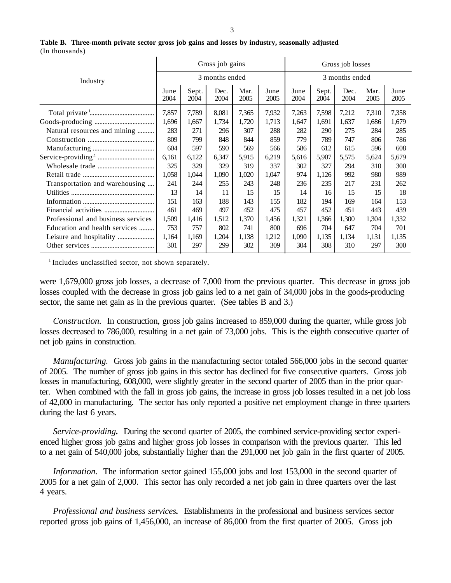|                                    |              |               | Gross job gains |              |              | Gross job losses |               |              |              |              |
|------------------------------------|--------------|---------------|-----------------|--------------|--------------|------------------|---------------|--------------|--------------|--------------|
| Industry                           |              |               | 3 months ended  |              |              | 3 months ended   |               |              |              |              |
|                                    | June<br>2004 | Sept.<br>2004 | Dec.<br>2004    | Mar.<br>2005 | June<br>2005 | June<br>2004     | Sept.<br>2004 | Dec.<br>2004 | Mar.<br>2005 | June<br>2005 |
|                                    | 7,857        | 7,789         | 8,081           | 7,365        | 7,932        | 7,263            | 7,598         | 7,212        | 7,310        | 7,358        |
|                                    | 1,696        | 1,667         | 1,734           | 1,720        | 1,713        | 1,647            | 1,691         | 1,637        | 1,686        | 1,679        |
| Natural resources and mining       | 283          | 271           | 296             | 307          | 288          | 282              | 290           | 275          | 284          | 285          |
|                                    | 809          | 799           | 848             | 844          | 859          | 779              | 789           | 747          | 806          | 786          |
|                                    | 604          | 597           | 590             | 569          | 566          | 586              | 612           | 615          | 596          | 608          |
|                                    | 6,161        | 6,122         | 6,347           | 5,915        | 6,219        | 5,616            | 5,907         | 5,575        | 5,624        | 5,679        |
|                                    | 325          | 329           | 329             | 319          | 337          | 302              | 327           | 294          | 310          | 300          |
|                                    | 1,058        | 1,044         | 1,090           | 1,020        | 1,047        | 974              | 1,126         | 992          | 980          | 989          |
| Transportation and warehousing     | 241          | 244           | 255             | 243          | 248          | 236              | 235           | 217          | 231          | 262          |
|                                    | 13           | 14            | 11              | 15           | 15           | 14               | 16            | 15           | 15           | 18           |
|                                    | 151          | 163           | 188             | 143          | 155          | 182              | 194           | 169          | 164          | 153          |
|                                    | 461          | 469           | 497             | 452          | 475          | 457              | 452           | 451          | 443          | 439          |
| Professional and business services | 1,509        | 1,416         | 1,512           | 1,370        | 1,456        | 1,321            | 1,366         | 1,300        | 1,304        | 1,332        |
| Education and health services      | 753          | 757           | 802             | 741          | 800          | 696              | 704           | 647          | 704          | 701          |
|                                    | 1,164        | 1,169         | 1,204           | 1,138        | 1,212        | 1,090            | 1,135         | 1,134        | 1,131        | 1,135        |
|                                    | 301          | 297           | 299             | 302          | 309          | 304              | 308           | 310          | 297          | 300          |
|                                    |              |               |                 |              |              |                  |               |              |              |              |

### **Table B. Three-month private sector gross job gains and losses by industry, seasonally adjusted** (In thousands)

<sup>1</sup> Includes unclassified sector, not shown separately.

were 1,679,000 gross job losses, a decrease of 7,000 from the previous quarter. This decrease in gross job losses coupled with the decrease in gross job gains led to a net gain of 34,000 jobs in the goods-producing sector, the same net gain as in the previous quarter. (See tables B and 3.)

*Construction.* In construction, gross job gains increased to 859,000 during the quarter, while gross job losses decreased to 786,000, resulting in a net gain of 73,000 jobs. This is the eighth consecutive quarter of net job gains in construction.

*Manufacturing.* Gross job gains in the manufacturing sector totaled 566,000 jobs in the second quarter of 2005. The number of gross job gains in this sector has declined for five consecutive quarters. Gross job losses in manufacturing, 608,000, were slightly greater in the second quarter of 2005 than in the prior quarter. When combined with the fall in gross job gains, the increase in gross job losses resulted in a net job loss of 42,000 in manufacturing. The sector has only reported a positive net employment change in three quarters during the last 6 years.

*Service-providing.* During the second quarter of 2005, the combined service-providing sector experienced higher gross job gains and higher gross job losses in comparison with the previous quarter. This led to a net gain of 540,000 jobs, substantially higher than the 291,000 net job gain in the first quarter of 2005.

*Information.* The information sector gained 155,000 jobs and lost 153,000 in the second quarter of 2005 for a net gain of 2,000. This sector has only recorded a net job gain in three quarters over the last 4 years.

*Professional and business services.* Establishments in the professional and business services sector reported gross job gains of 1,456,000, an increase of 86,000 from the first quarter of 2005. Gross job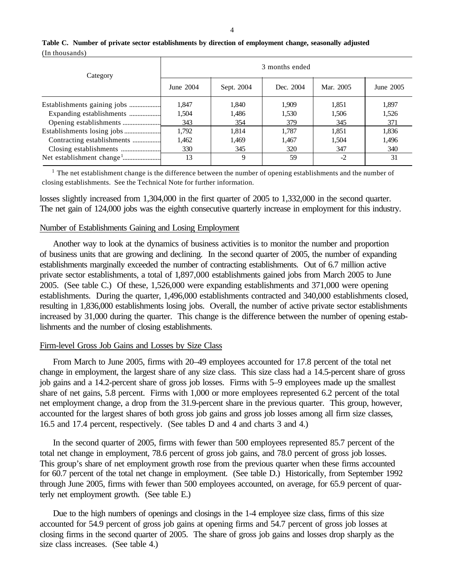| Category                    | 3 months ended |            |           |           |           |  |  |  |  |
|-----------------------------|----------------|------------|-----------|-----------|-----------|--|--|--|--|
|                             | June 2004      | Sept. 2004 | Dec. 2004 | Mar. 2005 | June 2005 |  |  |  |  |
| Establishments gaining jobs | 1.847          | 1.840      | 1,909     | 1.851     | 1,897     |  |  |  |  |
| Expanding establishments    | 1,504          | 1,486      | 1,530     | 1,506     | 1,526     |  |  |  |  |
|                             | 343            | 354        | 379       | 345       | 371       |  |  |  |  |
|                             | 1,792          | 1.814      | 1.787     | 1.851     | 1,836     |  |  |  |  |
| Contracting establishments  | 1,462          | 1,469      | 1,467     | 1,504     | 1,496     |  |  |  |  |
|                             | 330            | 345        | 320       | 347       | 340       |  |  |  |  |
|                             | 13             | 9          | 59        | $-2$      | 31        |  |  |  |  |

## **Table C. Number of private sector establishments by direction of employment change, seasonally adjusted** (In thousands)

<sup>1</sup> The net establishment change is the difference between the number of opening establishments and the number of closing establishments. See the Technical Note for further information.

losses slightly increased from 1,304,000 in the first quarter of 2005 to 1,332,000 in the second quarter. The net gain of 124,000 jobs was the eighth consecutive quarterly increase in employment for this industry.

## Number of Establishments Gaining and Losing Employment

Another way to look at the dynamics of business activities is to monitor the number and proportion of business units that are growing and declining. In the second quarter of 2005, the number of expanding establishments marginally exceeded the number of contracting establishments. Out of 6.7 million active private sector establishments, a total of 1,897,000 establishments gained jobs from March 2005 to June 2005. (See table C.) Of these, 1,526,000 were expanding establishments and 371,000 were opening establishments. During the quarter, 1,496,000 establishments contracted and 340,000 establishments closed, resulting in 1,836,000 establishments losing jobs. Overall, the number of active private sector establishments increased by 31,000 during the quarter. This change is the difference between the number of opening establishments and the number of closing establishments.

## Firm-level Gross Job Gains and Losses by Size Class

From March to June 2005, firms with 20–49 employees accounted for 17.8 percent of the total net change in employment, the largest share of any size class. This size class had a 14.5-percent share of gross job gains and a 14.2-percent share of gross job losses. Firms with 5–9 employees made up the smallest share of net gains, 5.8 percent. Firms with 1,000 or more employees represented 6.2 percent of the total net employment change, a drop from the 31.9-percent share in the previous quarter. This group, however, accounted for the largest shares of both gross job gains and gross job losses among all firm size classes, 16.5 and 17.4 percent, respectively. (See tables D and 4 and charts 3 and 4.)

In the second quarter of 2005, firms with fewer than 500 employees represented 85.7 percent of the total net change in employment, 78.6 percent of gross job gains, and 78.0 percent of gross job losses. This group's share of net employment growth rose from the previous quarter when these firms accounted for 60.7 percent of the total net change in employment. (See table D.) Historically, from September 1992 through June 2005, firms with fewer than 500 employees accounted, on average, for 65.9 percent of quarterly net employment growth. (See table E.)

Due to the high numbers of openings and closings in the 1-4 employee size class, firms of this size accounted for 54.9 percent of gross job gains at opening firms and 54.7 percent of gross job losses at closing firms in the second quarter of 2005. The share of gross job gains and losses drop sharply as the size class increases. (See table 4.)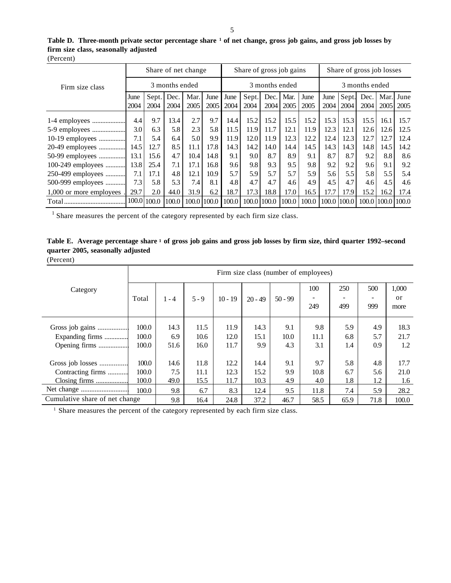|           | Table D. Three-month private sector percentage share <sup>1</sup> of net change, gross job gains, and gross job losses by |
|-----------|---------------------------------------------------------------------------------------------------------------------------|
|           | firm size class, seasonally adjusted                                                                                      |
| (Percent) |                                                                                                                           |

|                         | Share of net change |             |       |             | Share of gross job gains |       |       |       | Share of gross job losses |       |      |             |      |                   |      |
|-------------------------|---------------------|-------------|-------|-------------|--------------------------|-------|-------|-------|---------------------------|-------|------|-------------|------|-------------------|------|
| Firm size class         | 3 months ended      |             |       |             | 3 months ended           |       |       |       | 3 months ended            |       |      |             |      |                   |      |
|                         | June                | Sept.       | Dec.  | Mar.        | June                     | June  | Sept. | Dec.  | Mar.                      | June  | June | Sept.       | Dec. | Mar.              | June |
|                         | 2004                | 2004        | 2004  | 2005        | 2005                     | 2004  | 2004  | 2004  | 2005                      | 2005  | 2004 | 2004        | 2004 | 2005              | 2005 |
|                         | 4.4                 | 9.7         | 13.4  | 2.7         | 9.7                      | 14.4  | 15.2  | 15.2  | 15.5                      | 15.2  | 15.3 | 15.3        | 15.5 | 16.1              | 15.7 |
| 5-9 employees           | 3.0                 | 6.3         | 5.8   | 2.3         | 5.8                      | 11.5  | 11.9  | 11.7  | 12.1                      | 11.9  | 12.3 | 12.1        | 12.6 | 12.6              | 12.5 |
| 10-19 employees         | 7.1                 | 5.4         | 6.4   | 5.0         | 9.9                      | 11.9  | 12.0  | 11.9  | 12.3                      | 12.2  | 12.4 | 12.3        | 12.7 | 12.7              | 12.4 |
| 20-49 employees         | 14.5                | 12.7        | 8.5   | 11.1        | 17.8                     | 14.3  | 14.2  | 14.0  | 14.4                      | 14.5  | 14.3 | 14.3        | 14.8 | 14.5              | 14.2 |
| 50-99 employees         | 13.1                | 15.6        | 4.7   | 10.4        | 14.8                     | 9.1   | 9.0   | 8.7   | 8.9                       | 9.1   | 8.7  | 8.7         | 9.2  | 8.8               | 8.6  |
| 100-249 employees       | 13.8                | 25.4        | 7.1   | 17.1        | 16.8                     | 9.6   | 9.8   | 9.3   | 9.5                       | 9.8   | 9.2  | 9.2         | 9.6  | 9.1               | 9.2  |
| 250-499 employees       | 7.1                 | 17.1        | 4.8   | 12.1        | 10.9                     | 5.7   | 5.9   | 5.7   | 5.7                       | 5.9   | 5.6  | 5.5         | 5.8  | 5.5               | 5.4  |
| 500-999 employees       | 7.3                 | 5.8         | 5.3   | 7.4         | 8.1                      | 4.8   | 4.7   | 4.7   | 4.6                       | 4.9   | 4.5  | 4.7         | 4.6  | 4.5               | 4.6  |
| 1,000 or more employees | 29.7                | 2.0         | 44.0  | 31.9        | 6.2                      | 18.7  | 17.3  | 18.8  | 17.0                      | 16.5  | 17.7 | 17.9        | 15.2 | 16.2              | 17.4 |
| Total                   |                     | 100.0 100.0 | 100.0 | 100.0 100.0 |                          | 100.0 | 100.0 | 100.0 | 100.0                     | 100.0 |      | 100.0 100.0 |      | 100.0 100.0 100.0 |      |

 $1$  Share measures the percent of the category represented by each firm size class.

| Table E. Average percentage share 1 of gross job gains and gross job losses by firm size, third quarter 1992–second |  |  |  |
|---------------------------------------------------------------------------------------------------------------------|--|--|--|
| quarter 2005, seasonally adjusted                                                                                   |  |  |  |

(Percent)

|                                                        |                         | Firm size class (number of employees) |                      |                      |                      |                    |                    |                   |                   |                     |  |  |
|--------------------------------------------------------|-------------------------|---------------------------------------|----------------------|----------------------|----------------------|--------------------|--------------------|-------------------|-------------------|---------------------|--|--|
| Category                                               | Total                   | $1 - 4$                               | $5 - 9$              | $10 - 19$            | $20 - 49$            | $50 - 99$          | 100<br>249         | 250<br>499        | 500<br>999        | 1,000<br>or<br>more |  |  |
| Gross job gains<br>Expanding firms<br>Opening firms    | 100.0<br>100.0<br>100.0 | 14.3<br>6.9<br>51.6                   | 11.5<br>10.6<br>16.0 | 11.9<br>12.0<br>11.7 | 14.3<br>15.1<br>9.9  | 9.1<br>10.0<br>4.3 | 9.8<br>11.1<br>3.1 | 5.9<br>6.8<br>1.4 | 4.9<br>5.7<br>0.9 | 18.3<br>21.7<br>1.2 |  |  |
| Gross job losses<br>Contracting firms<br>Closing firms | 100.0<br>100.0<br>100.0 | 14.6<br>7.5<br>49.0                   | 11.8<br>11.1<br>15.5 | 12.2<br>12.3<br>11.7 | 14.4<br>15.2<br>10.3 | 9.1<br>9.9<br>4.9  | 9.7<br>10.8<br>4.0 | 5.8<br>6.7<br>1.8 | 4.8<br>5.6<br>1.2 | 17.7<br>21.0<br>1.6 |  |  |
| Net change                                             | 100.0                   | 9.8                                   | 6.7                  | 8.3                  | 12.4                 | 9.5                | 11.8               | 7.4               | 5.9               | 28.2<br>100.0       |  |  |
| Cumulative share of net change                         |                         | 9.8                                   | 16.4                 | 24.8                 | 37.2                 | 46.7               | 58.5               | 65.9              | 71.8              |                     |  |  |

<sup>1</sup> Share measures the percent of the category represented by each firm size class.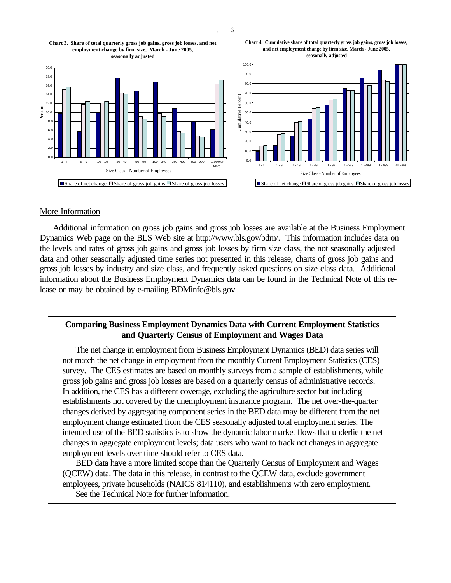6









## More Information

Additional information on gross job gains and gross job losses are available at the Business Employment Dynamics Web page on the BLS Web site at http://www.bls.gov/bdm/. This information includes data on the levels and rates of gross job gains and gross job losses by firm size class, the not seasonally adjusted data and other seasonally adjusted time series not presented in this release, charts of gross job gains and gross job losses by industry and size class, and frequently asked questions on size class data. Additional information about the Business Employment Dynamics data can be found in the Technical Note of this release or may be obtained by e-mailing BDMinfo@bls.gov.

## **Comparing Business Employment Dynamics Data with Current Employment Statistics and Quarterly Census of Employment and Wages Data**

The net change in employment from Business Employment Dynamics (BED) data series will not match the net change in employment from the monthly Current Employment Statistics (CES) survey. The CES estimates are based on monthly surveys from a sample of establishments, while gross job gains and gross job losses are based on a quarterly census of administrative records. In addition, the CES has a different coverage, excluding the agriculture sector but including establishments not covered by the unemployment insurance program. The net over-the-quarter changes derived by aggregating component series in the BED data may be different from the net employment change estimated from the CES seasonally adjusted total employment series. The intended use of the BED statistics is to show the dynamic labor market flows that underlie the net changes in aggregate employment levels; data users who want to track net changes in aggregate employment levels over time should refer to CES data.

BED data have a more limited scope than the Quarterly Census of Employment and Wages (QCEW) data. The data in this release, in contrast to the QCEW data, exclude government employees, private households (NAICS 814110), and establishments with zero employment. See the Technical Note for further information.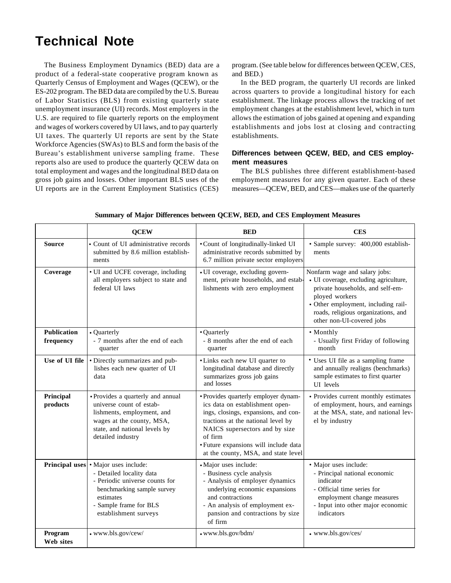# **Technical Note**

The Business Employment Dynamics (BED) data are a product of a federal-state cooperative program known as Quarterly Census of Employment and Wages (QCEW), or the ES-202 program. The BED data are compiled by the U.S. Bureau of Labor Statistics (BLS) from existing quarterly state unemployment insurance (UI) records. Most employers in the U.S. are required to file quarterly reports on the employment and wages of workers covered by UI laws, and to pay quarterly UI taxes. The quarterly UI reports are sent by the State Workforce Agencies (SWAs) to BLS and form the basis of the Bureau's establishment universe sampling frame. These reports also are used to produce the quarterly QCEW data on total employment and wages and the longitudinal BED data on gross job gains and losses. Other important BLS uses of the UI reports are in the Current Employment Statistics (CES)

program. (See table below for differences between QCEW, CES, and BED.)

In the BED program, the quarterly UI records are linked across quarters to provide a longitudinal history for each establishment. The linkage process allows the tracking of net employment changes at the establishment level, which in turn allows the estimation of jobs gained at opening and expanding establishments and jobs lost at closing and contracting establishments.

## **Differences between QCEW, BED, and CES employment measures**

The BLS publishes three different establishment-based employment measures for any given quarter. Each of these measures—QCEW, BED, and CES—makes use of the quarterly

|                                 | <b>QCEW</b>                                                                                                                                                                                      | <b>BED</b>                                                                                                                                                                                                                                                                         | <b>CES</b>                                                                                                                                                                                                                              |
|---------------------------------|--------------------------------------------------------------------------------------------------------------------------------------------------------------------------------------------------|------------------------------------------------------------------------------------------------------------------------------------------------------------------------------------------------------------------------------------------------------------------------------------|-----------------------------------------------------------------------------------------------------------------------------------------------------------------------------------------------------------------------------------------|
| <b>Source</b>                   | • Count of UI administrative records<br>submitted by 8.6 million establish-<br>ments                                                                                                             | • Count of longitudinally-linked UI<br>administrative records submitted by<br>6.7 million private sector employers                                                                                                                                                                 | · Sample survey: 400,000 establish-<br>ments                                                                                                                                                                                            |
| Coverage                        | • UI and UCFE coverage, including<br>all employers subject to state and<br>federal UI laws                                                                                                       | • UI coverage, excluding govern-<br>ment, private households, and estab-<br>lishments with zero employment                                                                                                                                                                         | Nonfarm wage and salary jobs:<br>· UI coverage, excluding agriculture,<br>private households, and self-em-<br>ployed workers<br>• Other employment, including rail-<br>roads, religious organizations, and<br>other non-UI-covered jobs |
| <b>Publication</b><br>frequency | • Quarterly<br>- 7 months after the end of each<br>quarter                                                                                                                                       | • Quarterly<br>- 8 months after the end of each<br>quarter                                                                                                                                                                                                                         | • Monthly<br>- Usually first Friday of following<br>month                                                                                                                                                                               |
| Use of UI file                  | • Directly summarizes and pub-<br>lishes each new quarter of UI<br>data                                                                                                                          | • Links each new UI quarter to<br>longitudinal database and directly<br>summarizes gross job gains<br>and losses                                                                                                                                                                   | • Uses UI file as a sampling frame<br>and annually realigns (benchmarks)<br>sample estimates to first quarter<br>UI levels                                                                                                              |
| Principal<br>products           | • Provides a quarterly and annual<br>universe count of estab-<br>lishments, employment, and<br>wages at the county, MSA,<br>state, and national levels by<br>detailed industry                   | · Provides quarterly employer dynam-<br>ics data on establishment open-<br>ings, closings, expansions, and con-<br>tractions at the national level by<br>NAICS supersectors and by size<br>of firm<br>· Future expansions will include data<br>at the county, MSA, and state level | • Provides current monthly estimates<br>of employment, hours, and earnings<br>at the MSA, state, and national lev-<br>el by industry                                                                                                    |
|                                 | Principal uses • Major uses include:<br>- Detailed locality data<br>- Periodic universe counts for<br>benchmarking sample survey<br>estimates<br>- Sample frame for BLS<br>establishment surveys | · Major uses include:<br>- Business cycle analysis<br>- Analysis of employer dynamics<br>underlying economic expansions<br>and contractions<br>- An analysis of employment ex-<br>pansion and contractions by size<br>of firm                                                      | · Major uses include:<br>- Principal national economic<br>indicator<br>- Official time series for<br>employment change measures<br>- Input into other major economic<br>indicators                                                      |
| Program<br>Web sites            | • www.bls.gov/cew/                                                                                                                                                                               | • www.bls.gov/bdm/                                                                                                                                                                                                                                                                 | • www.bls.gov/ces/                                                                                                                                                                                                                      |

**Summary of Major Differences between QCEW, BED, and CES Employment Measures**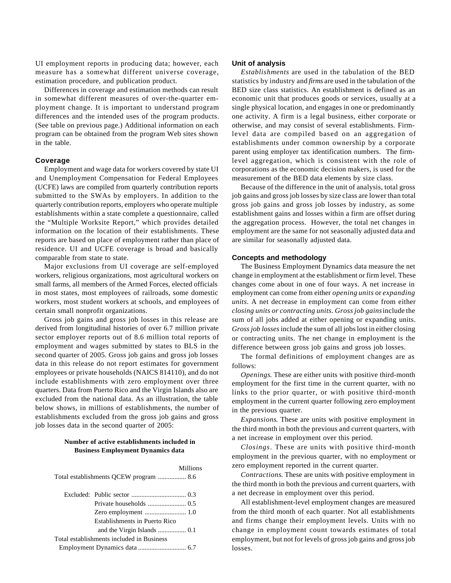UI employment reports in producing data; however, each measure has a somewhat different universe coverage, estimation procedure, and publication product.

Differences in coverage and estimation methods can result in somewhat different measures of over-the-quarter employment change. It is important to understand program differences and the intended uses of the program products. (See table on previous page.) Additional information on each program can be obtained from the program Web sites shown in the table.

#### **Coverage**

Employment and wage data for workers covered by state UI and Unemployment Compensation for Federal Employees (UCFE) laws are compiled from quarterly contribution reports submitted to the SWAs by employers. In addition to the quarterly contribution reports, employers who operate multiple establishments within a state complete a questionnaire, called the "Multiple Worksite Report," which provides detailed information on the location of their establishments. These reports are based on place of employment rather than place of residence. UI and UCFE coverage is broad and basically comparable from state to state.

Major exclusions from UI coverage are self-employed workers, religious organizations, most agricultural workers on small farms, all members of the Armed Forces, elected officials in most states, most employees of railroads, some domestic workers, most student workers at schools, and employees of certain small nonprofit organizations.

Gross job gains and gross job losses in this release are derived from longitudinal histories of over 6.7 million private sector employer reports out of 8.6 million total reports of employment and wages submitted by states to BLS in the second quarter of 2005. Gross job gains and gross job losses data in this release do not report estimates for government employees or private households (NAICS 814110), and do not include establishments with zero employment over three quarters. Data from Puerto Rico and the Virgin Islands also are excluded from the national data. As an illustration, the table below shows, in millions of establishments, the number of establishments excluded from the gross job gains and gross job losses data in the second quarter of 2005:

## **Number of active establishments included in Business Employment Dynamics data**

|                               | Millions |
|-------------------------------|----------|
|                               |          |
|                               |          |
|                               |          |
| Establishments in Puerto Rico |          |

# and the Virgin Islands ................. 0.1

 Total establishments included in Business Employment Dynamics data ............................. 6.7

#### **Unit of analysis**

*Establishments* are used in the tabulation of the BED statistics by industry and *firms* are used in the tabulation of the BED size class statistics. An establishment is defined as an economic unit that produces goods or services, usually at a single physical location, and engages in one or predominantly one activity. A firm is a legal business, either corporate or otherwise, and may consist of several establishments. Firmlevel data are compiled based on an aggregation of establishments under common ownership by a corporate parent using employer tax identification numbers. The firmlevel aggregation, which is consistent with the role of corporations as the economic decision makers, is used for the measurement of the BED data elements by size class.

Because of the difference in the unit of analysis, total gross job gains and gross job losses by size class are lower than total gross job gains and gross job losses by industry, as some establishment gains and losses within a firm are offset during the aggregation process. However, the total net changes in employment are the same for not seasonally adjusted data and are similar for seasonally adjusted data.

#### **Concepts and methodology**

The Business Employment Dynamics data measure the net change in employment at the establishment or firm level. These changes come about in one of four ways. A net increase in employment can come from either *opening units* or *expanding units*. A net decrease in employment can come from either *closing units or contracting units. Gross job gains* include the sum of all jobs added at either opening or expanding units. *Gross job losses* include the sum of all jobs lost in either closing or contracting units. The net change in employment is the difference between gross job gains and gross job losses.

The formal definitions of employment changes are as follows:

*Openings*. These are either units with positive third-month employment for the first time in the current quarter, with no links to the prior quarter, or with positive third-month employment in the current quarter following zero employment in the previous quarter.

*Expansions*. These are units with positive employment in the third month in both the previous and current quarters, with a net increase in employment over this period.

*Closings*. These are units with positive third-month employment in the previous quarter, with no employment or zero employment reported in the current quarter.

*Contractions*. These are units with positive employment in the third month in both the previous and current quarters, with a net decrease in employment over this period.

All establishment-level employment changes are measured from the third month of each quarter. Not all establishments and firms change their employment levels. Units with no change in employment count towards estimates of total employment, but not for levels of gross job gains and gross job losses.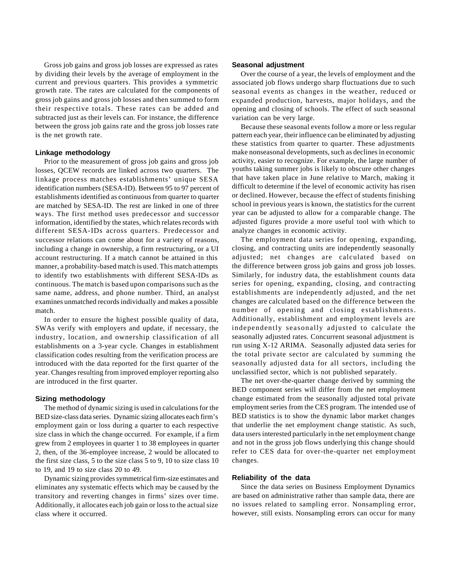Gross job gains and gross job losses are expressed as rates by dividing their levels by the average of employment in the current and previous quarters. This provides a symmetric growth rate. The rates are calculated for the components of gross job gains and gross job losses and then summed to form their respective totals. These rates can be added and subtracted just as their levels can. For instance, the difference between the gross job gains rate and the gross job losses rate is the net growth rate.

#### **Linkage methodology**

Prior to the measurement of gross job gains and gross job losses, QCEW records are linked across two quarters. The linkage process matches establishments' unique SESA identification numbers (SESA-ID). Between 95 to 97 percent of establishments identified as continuous from quarter to quarter are matched by SESA-ID. The rest are linked in one of three ways. The first method uses predecessor and successor information, identified by the states, which relates records with different SESA-IDs across quarters. Predecessor and successor relations can come about for a variety of reasons, including a change in ownership, a firm restructuring, or a UI account restructuring. If a match cannot be attained in this manner, a probability-based match is used. This match attempts to identify two establishments with different SESA-IDs as continuous. The match is based upon comparisons such as the same name, address, and phone number. Third, an analyst examines unmatched records individually and makes a possible match.

In order to ensure the highest possible quality of data, SWAs verify with employers and update, if necessary, the industry, location, and ownership classification of all establishments on a 3-year cycle. Changes in establishment classification codes resulting from the verification process are introduced with the data reported for the first quarter of the year. Changes resulting from improved employer reporting also are introduced in the first quarter.

#### **Sizing methodology**

The method of dynamic sizing is used in calculations for the BED size-class data series. Dynamic sizing allocates each firm's employment gain or loss during a quarter to each respective size class in which the change occurred. For example, if a firm grew from 2 employees in quarter 1 to 38 employees in quarter 2, then, of the 36-employee increase, 2 would be allocated to the first size class, 5 to the size class 5 to 9, 10 to size class 10 to 19, and 19 to size class 20 to 49.

Dynamic sizing provides symmetrical firm-size estimates and eliminates any systematic effects which may be caused by the transitory and reverting changes in firms' sizes over time. Additionally, it allocates each job gain or loss to the actual size class where it occurred.

#### **Seasonal adjustment**

Over the course of a year, the levels of employment and the associated job flows undergo sharp fluctuations due to such seasonal events as changes in the weather, reduced or expanded production, harvests, major holidays, and the opening and closing of schools. The effect of such seasonal variation can be very large.

Because these seasonal events follow a more or less regular pattern each year, their influence can be eliminated by adjusting these statistics from quarter to quarter. These adjustments make nonseasonal developments, such as declines in economic activity, easier to recognize. For example, the large number of youths taking summer jobs is likely to obscure other changes that have taken place in June relative to March, making it difficult to determine if the level of economic activity has risen or declined. However, because the effect of students finishing school in previous years is known, the statistics for the current year can be adjusted to allow for a comparable change. The adjusted figures provide a more useful tool with which to analyze changes in economic activity.

The employment data series for opening, expanding, closing, and contracting units are independently seasonally adjusted; net changes are calculated based on the difference between gross job gains and gross job losses. Similarly, for industry data, the establishment counts data series for opening, expanding, closing, and contracting establishments are independently adjusted, and the net changes are calculated based on the difference between the number of opening and closing establishments. Additionally, establishment and employment levels are independently seasonally adjusted to calculate the seasonally adjusted rates. Concurrent seasonal adjustment is run using X-12 ARIMA. Seasonally adjusted data series for the total private sector are calculated by summing the seasonally adjusted data for all sectors, including the unclassified sector, which is not published separately.

The net over-the-quarter change derived by summing the BED component series will differ from the net employment change estimated from the seasonally adjusted total private employment series from the CES program. The intended use of BED statistics is to show the dynamic labor market changes that underlie the net employment change statistic. As such, data users interested particularly in the net employment change and not in the gross job flows underlying this change should refer to CES data for over-the-quarter net employment changes.

#### **Reliability of the data**

Since the data series on Business Employment Dynamics are based on administrative rather than sample data, there are no issues related to sampling error. Nonsampling error, however, still exists. Nonsampling errors can occur for many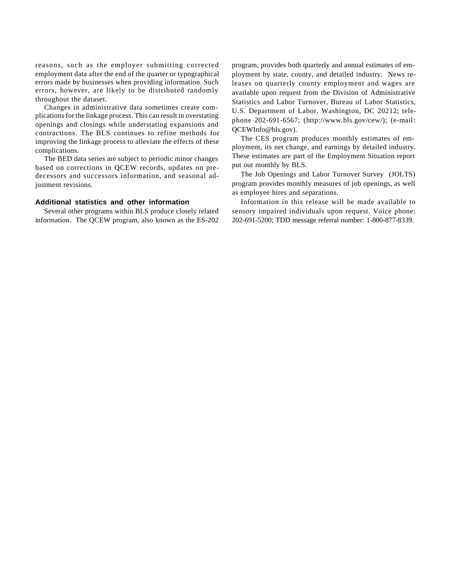reasons, such as the employer submitting corrected employment data after the end of the quarter or typographical errors made by businesses when providing information. Such errors, however, are likely to be distributed randomly throughout the dataset.

Changes in administrative data sometimes create complications for the linkage process. This can result in overstating openings and closings while understating expansions and contractions. The BLS continues to refine methods for improving the linkage process to alleviate the effects of these complications.

The BED data series are subject to periodic minor changes based on corrections in QCEW records, updates on predecessors and successors information, and seasonal adjustment revisions.

#### **Additional statistics and other information**

Several other programs within BLS produce closely related information. The QCEW program, also known as the ES-202 program, provides both quarterly and annual estimates of employment by state, county, and detailed industry. News releases on quarterly county employment and wages are available upon request from the Division of Administrative Statistics and Labor Turnover, Bureau of Labor Statistics, U.S. Department of Labor, Washington, DC 20212; telephone 202-691-6567; (http://www.bls.gov/cew/); (e-mail: QCEWInfo@bls.gov).

The CES program produces monthly estimates of employment, its net change, and earnings by detailed industry. These estimates are part of the Employment Situation report put out monthly by BLS.

The Job Openings and Labor Turnover Survey (JOLTS) program provides monthly measures of job openings, as well as employee hires and separations.

Information in this release will be made available to sensory impaired individuals upon request. Voice phone: 202-691-5200; TDD message referral number: 1-800-877-8339.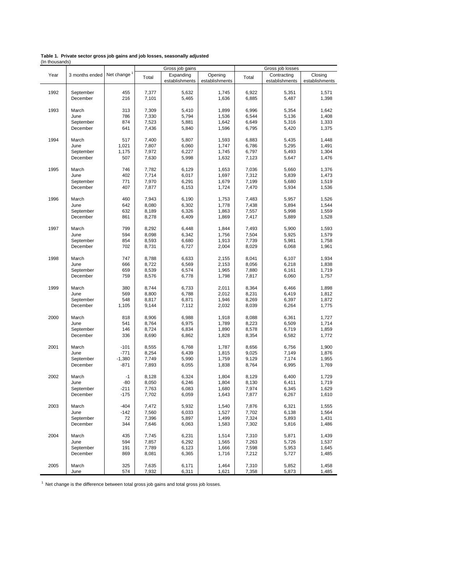|                | Table 1. Private sector gross job gains and job losses, seasonally adjusted |  |  |  |
|----------------|-----------------------------------------------------------------------------|--|--|--|
| (In thousands) |                                                                             |  |  |  |

|      |                           |          |       | Gross job gains             |                           |       | Gross job losses              |                           |
|------|---------------------------|----------|-------|-----------------------------|---------------------------|-------|-------------------------------|---------------------------|
| Year | 3 months ended Net change |          | Total | Expanding<br>establishments | Opening<br>establishments | Total | Contracting<br>establishments | Closing<br>establishments |
| 1992 | September                 | 455      | 7,377 | 5,632                       | 1,745                     | 6,922 | 5,351                         | 1,571                     |
|      | December                  | 216      | 7,101 | 5,465                       | 1,636                     | 6,885 | 5,487                         | 1,398                     |
| 1993 | March                     | 313      | 7,309 | 5,410                       | 1,899                     | 6,996 | 5,354                         | 1,642                     |
|      | June                      | 786      | 7,330 | 5,794                       | 1,536                     | 6,544 | 5,136                         | 1,408                     |
|      | September                 | 874      | 7,523 | 5,881                       | 1,642                     | 6,649 | 5,316                         | 1,333                     |
|      | December                  | 641      | 7,436 | 5,840                       | 1,596                     | 6,795 | 5,420                         | 1,375                     |
| 1994 | March                     | 517      | 7,400 | 5,807                       | 1,593                     | 6,883 | 5,435                         | 1,448                     |
|      | June                      | 1,021    | 7,807 | 6,060                       | 1,747                     | 6,786 | 5,295                         | 1,491                     |
|      | September                 | 1,175    | 7,972 | 6,227                       | 1,745                     | 6,797 | 5,493                         | 1,304                     |
|      | December                  | 507      | 7,630 | 5,998                       | 1,632                     | 7,123 | 5,647                         | 1,476                     |
| 1995 | March                     | 746      | 7,782 | 6,129                       | 1,653                     | 7,036 | 5,660                         | 1,376                     |
|      | June                      | 402      | 7,714 | 6,017                       | 1,697                     | 7,312 | 5,839                         | 1,473                     |
|      | September                 | 771      | 7,970 | 6,291                       | 1,679                     | 7,199 | 5,680                         | 1,519                     |
|      | December                  | 407      | 7,877 | 6,153                       | 1,724                     | 7,470 | 5,934                         | 1,536                     |
| 1996 | March                     | 460      | 7,943 | 6,190                       | 1,753                     | 7,483 | 5,957                         | 1,526                     |
|      | June                      | 642      | 8,080 | 6,302                       | 1,778                     | 7,438 | 5,894                         | 1,544                     |
|      | September                 | 632      | 8,189 | 6,326                       | 1,863                     | 7,557 | 5,998                         | 1,559                     |
| 1997 | December                  | 861      | 8,278 | 6,409                       | 1,869                     | 7,417 | 5,889                         | 1,528                     |
|      | March                     | 799      | 8,292 | 6,448                       | 1,844                     | 7,493 | 5,900                         | 1,593                     |
|      | June                      | 594      | 8,098 | 6,342                       | 1,756                     | 7,504 | 5,925                         | 1,579                     |
|      | September                 | 854      | 8,593 | 6,680                       | 1,913                     | 7,739 | 5,981                         | 1,758                     |
| 1998 | December                  | 702      | 8,731 | 6,727                       | 2,004                     | 8,029 | 6,068                         | 1,961                     |
|      | March                     | 747      | 8,788 | 6,633                       | 2,155                     | 8,041 | 6,107                         | 1,934                     |
|      | June                      | 666      | 8,722 | 6,569                       | 2,153                     | 8,056 | 6,218                         | 1,838                     |
|      | September                 | 659      | 8,539 | 6,574                       | 1,965                     | 7,880 | 6,161                         | 1,719                     |
|      | December                  | 759      | 8,576 | 6,778                       | 1,798                     | 7,817 | 6,060                         | 1,757                     |
| 1999 | March                     | 380      | 8,744 | 6,733                       | 2,011                     | 8,364 | 6,466                         | 1,898                     |
|      | June                      | 569      | 8,800 | 6,788                       | 2,012                     | 8,231 | 6,419                         | 1,812                     |
|      | September                 | 548      | 8,817 | 6,871                       | 1,946                     | 8,269 | 6,397                         | 1,872                     |
|      | December                  | 1,105    | 9,144 | 7,112                       | 2,032                     | 8,039 | 6,264                         | 1,775                     |
| 2000 | March                     | 818      | 8,906 | 6,988                       | 1,918                     | 8,088 | 6,361                         | 1,727                     |
|      | June                      | 541      | 8,764 | 6,975                       | 1,789                     | 8,223 | 6,509                         | 1,714                     |
|      | September                 | 146      | 8,724 | 6,834                       | 1,890                     | 8,578 | 6,719                         | 1,859                     |
|      | December                  | 336      | 8,690 | 6,862                       | 1,828                     | 8,354 | 6,582                         | 1,772                     |
| 2001 | March                     | $-101$   | 8,555 | 6,768                       | 1,787                     | 8,656 | 6,756                         | 1,900                     |
|      | June                      | $-771$   | 8,254 | 6,439                       | 1,815                     | 9,025 | 7,149                         | 1,876                     |
|      | September                 | $-1,380$ | 7,749 | 5,990                       | 1,759                     | 9,129 | 7,174                         | 1,955                     |
| 2002 | December                  | $-871$   | 7,893 | 6,055                       | 1,838                     | 8,764 | 6,995                         | 1,769                     |
|      | March                     | $-1$     | 8,128 | 6,324                       | 1,804                     | 8,129 | 6,400                         | 1,729                     |
|      | June                      | $-80$    | 8,050 | 6,246                       | 1,804                     | 8,130 | 6,411                         | 1,719                     |
|      | September                 | $-211$   | 7,763 | 6,083                       | 1,680                     | 7,974 | 6,345                         | 1,629                     |
|      | December                  | -175     | 7,702 | 6,059                       | 1,643                     | 7,877 | 6,267                         | 1,610                     |
| 2003 | March                     | $-404$   | 7,472 | 5,932                       | 1,540                     | 7,876 | 6,321                         | 1,555                     |
|      | June                      | $-142$   | 7,560 | 6,033                       | 1,527                     | 7,702 | 6,138                         | 1,564                     |
|      | September                 | 72       | 7,396 | 5,897                       | 1,499                     | 7,324 | 5,893                         | 1,431                     |
|      | December                  | 344      | 7,646 | 6,063                       | 1,583                     | 7,302 | 5,816                         | 1,486                     |
| 2004 | March                     | 435      | 7,745 | 6,231                       | 1,514                     | 7,310 | 5,871                         | 1,439                     |
|      | June                      | 594      | 7,857 | 6,292                       | 1,565                     | 7,263 | 5,726                         | 1,537                     |
|      | September                 | 191      | 7,789 | 6,123                       | 1,666                     | 7,598 | 5,953                         | 1,645                     |
|      | December                  | 869      | 8,081 | 6,365                       | 1,716                     | 7,212 | 5,727                         | 1,485                     |
| 2005 | March                     | 325      | 7,635 | 6,171                       | 1,464                     | 7,310 | 5,852                         | 1,458                     |
|      | June                      | 574      | 7,932 | 6,311                       | 1,621                     | 7,358 | 5,873                         | 1,485                     |

 $1$  Net change is the difference between total gross job gains and total gross job losses.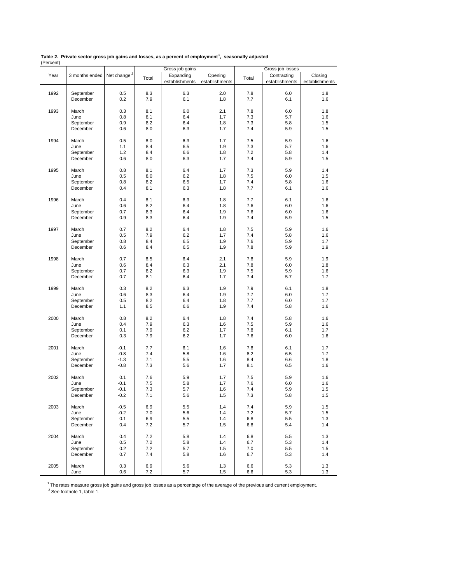|      |                |                         |       | Gross job gains |                |       | Gross job losses |                |  |
|------|----------------|-------------------------|-------|-----------------|----------------|-------|------------------|----------------|--|
| Year | 3 months ended | Net change <sup>2</sup> |       | Expanding       | Opening        |       | Contracting      | Closing        |  |
|      |                |                         | Total | establishments  | establishments | Total | establishments   | establishments |  |
|      |                |                         |       |                 |                |       |                  |                |  |
| 1992 | September      | 0.5                     | 8.3   | 6.3             | 2.0            | 7.8   | 6.0              | 1.8            |  |
|      | December       | 0.2                     | 7.9   | 6.1             | 1.8            | 7.7   | 6.1              | 1.6            |  |
|      |                |                         |       |                 |                |       |                  |                |  |
| 1993 | March          | 0.3                     | 8.1   | 6.0             | 2.1            | 7.8   | 6.0              | 1.8            |  |
|      | June           | 0.8                     | 8.1   | 6.4             | 1.7            | 7.3   | 5.7              | 1.6            |  |
|      | September      | 0.9                     | 8.2   | 6.4             | 1.8            | 7.3   | 5.8              | 1.5            |  |
|      | December       | 0.6                     | 8.0   | 6.3             | 1.7            | 7.4   | 5.9              | 1.5            |  |
|      |                |                         |       |                 |                |       |                  |                |  |
| 1994 | March          | 0.5                     | 8.0   | 6.3             | 1.7            | 7.5   | 5.9              | 1.6            |  |
|      |                |                         | 8.4   |                 |                | 7.3   | 5.7              |                |  |
|      | June           | 1.1                     |       | 6.5             | 1.9            |       |                  | 1.6            |  |
|      | September      | 1.2                     | 8.4   | 6.6             | 1.8            | 7.2   | 5.8              | 1.4            |  |
|      | December       | 0.6                     | 8.0   | 6.3             | 1.7            | 7.4   | 5.9              | 1.5            |  |
|      |                |                         |       |                 |                |       |                  |                |  |
| 1995 | March          | 0.8                     | 8.1   | 6.4             | 1.7            | 7.3   | 5.9              | 1.4            |  |
|      | June           | 0.5                     | 8.0   | 6.2             | 1.8            | 7.5   | 6.0              | 1.5            |  |
|      | September      | 0.8                     | 8.2   | 6.5             | 1.7            | 7.4   | 5.8              | 1.6            |  |
|      | December       | 0.4                     | 8.1   | 6.3             | 1.8            | 7.7   | 6.1              | 1.6            |  |
|      |                |                         |       |                 |                |       |                  |                |  |
| 1996 | March          | 0.4                     | 8.1   | 6.3             | 1.8            | 7.7   | 6.1              | 1.6            |  |
|      | June           | 0.6                     | 8.2   | 6.4             | 1.8            | 7.6   | 6.0              | 1.6            |  |
|      | September      | 0.7                     | 8.3   | 6.4             | 1.9            | 7.6   | 6.0              | 1.6            |  |
|      | December       | 0.9                     | 8.3   | 6.4             | 1.9            | 7.4   | 5.9              | 1.5            |  |
|      |                |                         |       |                 |                |       |                  |                |  |
| 1997 | March          | 0.7                     | 8.2   | 6.4             | 1.8            | 7.5   | 5.9              | 1.6            |  |
|      | June           | 0.5                     | 7.9   | 6.2             | 1.7            | 7.4   | 5.8              | 1.6            |  |
|      | September      | 0.8                     | 8.4   | 6.5             | 1.9            | 7.6   | 5.9              | 1.7            |  |
|      | December       | 0.6                     | 8.4   | 6.5             | 1.9            | 7.8   | 5.9              | 1.9            |  |
|      |                |                         |       |                 |                |       |                  |                |  |
| 1998 | March          | 0.7                     | 8.5   | 6.4             | 2.1            | 7.8   | 5.9              | 1.9            |  |
|      | June           | 0.6                     | 8.4   | 6.3             | 2.1            | 7.8   | 6.0              | 1.8            |  |
|      | September      | 0.7                     | 8.2   | 6.3             | 1.9            | 7.5   | 5.9              | 1.6            |  |
|      |                |                         |       |                 |                |       |                  |                |  |
|      | December       | 0.7                     | 8.1   | 6.4             | 1.7            | 7.4   | 5.7              | 1.7            |  |
|      |                |                         |       |                 |                |       |                  |                |  |
| 1999 | March          | 0.3                     | 8.2   | 6.3             | 1.9            | 7.9   | 6.1              | 1.8            |  |
|      | June           | 0.6                     | 8.3   | 6.4             | 1.9            | 7.7   | 6.0              | 1.7            |  |
|      | September      | 0.5                     | 8.2   | 6.4             | 1.8            | 7.7   | 6.0              | 1.7            |  |
|      | December       | 1.1                     | 8.5   | 6.6             | 1.9            | 7.4   | 5.8              | 1.6            |  |
|      |                |                         |       |                 |                |       |                  |                |  |
| 2000 | March          | 0.8                     | 8.2   | 6.4             | 1.8            | 7.4   | 5.8              | 1.6            |  |
|      | June           | 0.4                     | 7.9   | 6.3             | 1.6            | 7.5   | 5.9              | 1.6            |  |
|      | September      | 0.1                     | 7.9   | 6.2             | 1.7            | 7.8   | 6.1              | 1.7            |  |
|      | December       | 0.3                     | 7.9   | 6.2             | 1.7            | 7.6   | 6.0              | 1.6            |  |
|      |                |                         |       |                 |                |       |                  |                |  |
| 2001 | March          | $-0.1$                  | 7.7   | 6.1             | 1.6            | 7.8   | 6.1              | 1.7            |  |
|      | June           | $-0.8$                  | 7.4   | 5.8             | 1.6            | 8.2   | 6.5              | 1.7            |  |
|      | September      | $-1.3$                  | 7.1   | 5.5             | 1.6            | 8.4   | 6.6              | 1.8            |  |
|      | December       | $-0.8$                  | 7.3   | 5.6             | 1.7            | 8.1   | 6.5              | 1.6            |  |
|      |                |                         |       |                 |                |       |                  |                |  |
| 2002 | March          | 0.1                     | 7.6   | 5.9             | 1.7            | 7.5   | 5.9              | 1.6            |  |
|      | June           | $-0.1$                  | 7.5   | 5.8             | 1.7            | 7.6   | 6.0              | 1.6            |  |
|      | September      | $-0.1$                  | 7.3   | 5.7             | 1.6            | 7.4   | 5.9              | 1.5            |  |
|      | December       | $-0.2$                  | 7.1   | 5.6             | 1.5            | 7.3   | 5.8              | 1.5            |  |
|      |                |                         |       |                 |                |       |                  |                |  |
| 2003 | March          | $-0.5$                  | 6.9   | 5.5             | 1.4            | 7.4   | 5.9              | 1.5            |  |
|      | June           | $-0.2$                  | 7.0   | 5.6             | 1.4            | 7.2   | 5.7              | 1.5            |  |
|      | September      | 0.1                     | 6.9   | 5.5             | 1.4            | 6.8   | 5.5              | 1.3            |  |
|      | December       | 0.4                     | 7.2   | 5.7             | 1.5            | 6.8   | 5.4              | 1.4            |  |
|      |                |                         |       |                 |                |       |                  |                |  |
|      |                |                         |       |                 |                |       |                  |                |  |
| 2004 | March          | 0.4                     | 7.2   | 5.8             | 1.4            | 6.8   | 5.5              | 1.3            |  |
|      | June           | 0.5                     | 7.2   | 5.8             | 1.4            | 6.7   | 5.3              | 1.4            |  |
|      | September      | 0.2                     | 7.2   | 5.7             | 1.5            | 7.0   | 5.5              | 1.5            |  |
|      | December       | 0.7                     | 7.4   | 5.8             | 1.6            | 6.7   | 5.3              | 1.4            |  |
|      |                |                         |       |                 |                |       |                  |                |  |
| 2005 | March          | 0.3                     | 6.9   | 5.6             | 1.3            | 6.6   | 5.3              | 1.3            |  |
|      | June           | 0.6                     | 7.2   | 5.7             | 1.5            | 6.6   | 5.3              | 1.3            |  |

**Table 2. Private sector gross job gains and losses, as a percent of employment<sup>1</sup> , seasonally adjusted** (Percent)

<sup>1</sup> The rates measure gross job gains and gross job losses as a percentage of the average of the previous and current employment.<br><sup>2</sup> See footnote 1, table 1.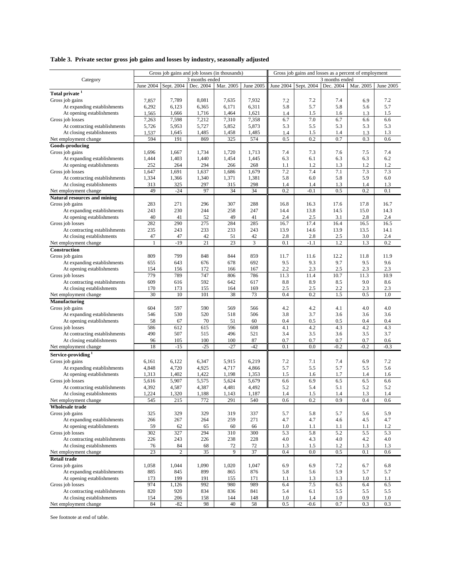## **Table 3. Private sector gross job gains and losses by industry, seasonally adjusted**

|                                                          | Gross job gains and job losses (in thousands) |                |                |                |                | Gross job gains and losses as a percent of employment |            |            |            |            |  |
|----------------------------------------------------------|-----------------------------------------------|----------------|----------------|----------------|----------------|-------------------------------------------------------|------------|------------|------------|------------|--|
| Category                                                 | 3 months ended                                |                |                |                |                | 3 months ended                                        |            |            |            |            |  |
|                                                          | June 2004                                     | Sept. 2004     | Dec. 2004      | Mar. 2005      | June 2005      | June 2004                                             | Sept. 2004 | Dec. 2004  | Mar. 2005  | June 2005  |  |
| Total private $^{\rm 1}$                                 |                                               |                |                |                |                |                                                       |            |            |            |            |  |
| Gross job gains                                          | 7,857                                         | 7,789          | 8,081          | 7,635          | 7,932          | 7.2                                                   | 7.2        | 7.4        | 6.9        | 7.2        |  |
| At expanding establishments                              | 6,292                                         | 6,123          | 6,365          | 6,171          | 6,311          | 5.8                                                   | 5.7        | 5.8        | 5.6        | 5.7        |  |
| At opening establishments                                | 1,565                                         | 1,666          | 1,716          | 1,464          | 1,621          | 1.4                                                   | 1.5        | 1.6        | 1.3        | 1.5        |  |
| Gross job losses                                         | 7,263                                         | 7,598          | 7,212          | 7,310          | 7,358          | 6.7                                                   | 7.0        | 6.7        | 6.6        | 6.6        |  |
| At contracting establishments                            | 5,726                                         | 5,953          | 5,727          | 5,852          | 5,873          | 5.3                                                   | 5.5        | 5.3        | 5.3        | 5.3        |  |
| At closing establishments                                | 1,537                                         | 1,645          | 1,485          | 1,458          | 1,485          | 1.4                                                   | 1.5        | 1.4        | 1.3        | 1.3        |  |
| Net employment change                                    | 594                                           | 191            | 869            | 325            | 574            | 0.5                                                   | 0.2        | 0.7        | 0.3        | 0.6        |  |
| Goods-producing                                          |                                               |                |                |                |                |                                                       |            |            |            |            |  |
| Gross job gains                                          | 1,696                                         | 1,667          | 1,734          | 1,720          | 1,713          | 7.4                                                   | 7.3        | 7.6        | 7.5        | 7.4        |  |
| At expanding establishments                              | 1,444                                         | 1,403          | 1,440          | 1,454          | 1,445          | 6.3                                                   | 6.1        | 6.3        | 6.3        | 6.2        |  |
| At opening establishments                                | 252                                           | 264            | 294            | 266            | 268            | 1.1                                                   | 1.2        | 1.3        | 1.2        | 1.2        |  |
| Gross job losses                                         | 1,647                                         | 1,691          | 1,637          | 1,686          | 1,679          | 7.2                                                   | 7.4        | 7.1        | 7.3        | 7.3        |  |
| At contracting establishments                            | 1,334                                         | 1,366          | 1,340          | 1,371          | 1,381          | 5.8                                                   | 6.0        | 5.8        | 5.9        | 6.0        |  |
| At closing establishments                                | 313                                           | 325            | 297            | 315            | 298            | 1.4                                                   | 1.4        | 1.3        | 1.4        | 1.3        |  |
| Net employment change                                    | 49                                            | $-24$          | 97             | 34             | 34             | 0.2                                                   | $-0.1$     | 0.5        | 0.2        | 0.1        |  |
| <b>Natural resources and mining</b>                      |                                               |                |                |                |                |                                                       |            |            |            |            |  |
| Gross job gains                                          | 283                                           | 271            | 296            | 307            | 288            | 16.8                                                  | 16.3       | 17.6       | 17.8       | 16.7       |  |
| At expanding establishments                              | 243                                           | 230            | 244            | 258            | 247            | 14.4                                                  | 13.8       | 14.5       | 15.0       | 14.3       |  |
| At opening establishments                                | 40                                            | 41             | 52             | 49             | 41             | 2.4                                                   | 2.5        | 3.1        | 2.8        | 2.4        |  |
| Gross job losses                                         | 282                                           | 290            | 275            | 284            | 285            | 16.7                                                  | 17.4       | 16.4       | 16.5       | 16.5       |  |
| At contracting establishments                            | 235                                           | 243            | 233            | 233            | 243            | 13.9                                                  | 14.6       | 13.9       | 13.5       | 14.1       |  |
| At closing establishments                                | 47                                            | 47             | 42             | 51             | 42             | 2.8                                                   | 2.8        | 2.5        | 3.0        | 2.4        |  |
| Net employment change                                    |                                               | $-19$          | 21             | 23             | 3              | 0.1                                                   | $-1.1$     | 1.2        | 1.3        | 0.2        |  |
| <b>Construction</b>                                      |                                               |                |                |                |                |                                                       |            |            |            |            |  |
| Gross job gains                                          | 809                                           | 799            | 848            | 844            | 859            | 11.7                                                  | 11.6       | 12.2       | 11.8       | 11.9       |  |
| At expanding establishments                              | 655                                           | 643            | 676            | 678            | 692            | 9.5                                                   | 9.3        | 9.7        | 9.5        | 9.6        |  |
| At opening establishments                                | 154                                           | 156            | 172            | 166            | 167            | 2.2                                                   | 2.3        | 2.5        | 2.3        | 2.3        |  |
| Gross job losses                                         | 779                                           | 789            | 747            | 806            | 786            | 11.3                                                  | 11.4       | 10.7       | 11.3       | 10.9       |  |
| At contracting establishments                            | 609                                           | 616            | 592            | 642            | 617            | 8.8                                                   | 8.9        | 8.5        | 9.0        | 8.6        |  |
| At closing establishments                                | 170                                           | 173            | 155            | 164            | 169            | 2.5                                                   | 2.5        | 2.2        | 2.3        | 2.3        |  |
| Net employment change                                    | 30                                            | 10             | 101            | 38             | 73             | 0.4                                                   | 0.2        | 1.5        | 0.5        | 1.0        |  |
| <b>Manufacturing</b>                                     |                                               |                |                |                |                |                                                       |            |            |            |            |  |
| Gross job gains                                          | 604<br>546                                    | 597<br>530     | 590            | 569            | 566<br>506     | 4.2                                                   | 4.2        | 4.1        | 4.0        | 4.0        |  |
| At expanding establishments<br>At opening establishments | 58                                            | 67             | 520<br>70      | 518<br>51      | 60             | 3.8<br>0.4                                            | 3.7<br>0.5 | 3.6<br>0.5 | 3.6<br>0.4 | 3.6<br>0.4 |  |
| Gross job losses                                         | 586                                           | 612            | 615            | 596            | 608            | 4.1                                                   | 4.2        | 4.3        | 4.2        | 4.3        |  |
| At contracting establishments                            | 490                                           | 507            | 515            | 496            | 521            | 3.4                                                   | 3.5        | 3.6        | 3.5        | 3.7        |  |
| At closing establishments                                | 96                                            | 105            | 100            | 100            | 87             | 0.7                                                   | 0.7        | 0.7        | 0.7        | 0.6        |  |
| Net employment change                                    | 18                                            | $-15$          | $-25$          | $-27$          | $-42$          | 0.1                                                   | 0.0        | $-0.2$     | $-0.2$     | $-0.3$     |  |
|                                                          |                                               |                |                |                |                |                                                       |            |            |            |            |  |
| Service-providing <sup>1</sup>                           |                                               |                |                |                | 6,219          | 7.2                                                   |            | 7.4        | 6.9        | 7.2        |  |
| Gross job gains<br>At expanding establishments           | 6,161                                         | 6,122          | 6,347          | 5,915          |                | 5.7                                                   | 7.1<br>5.5 |            | 5.5        | 5.6        |  |
| At opening establishments                                | 4,848<br>1,313                                | 4,720<br>1,402 | 4,925<br>1,422 | 4,717<br>1,198 | 4,866<br>1,353 | 1.5                                                   | 1.6        | 5.7<br>1.7 | 1.4        | 1.6        |  |
| Gross job losses                                         | 5,616                                         | 5,907          | 5,575          | 5,624          | 5,679          | 6.6                                                   | 6.9        | 6.5        | 6.5        | 6.6        |  |
| At contracting establishments                            | 4,392                                         | 4,587          | 4,387          | 4,481          | 4,492          | 5.2                                                   | 5.4        | 5.1        | 5.2        | 5.2        |  |
| At closing establishments                                | 1,224                                         | 1,320          | 1,188          | 1,143          | 1,187          | 1.4                                                   | 1.5        | 1.4        | 1.3        | 1.4        |  |
| Net employment change                                    | 545                                           | 215            | 772            | 291            | 540            | 0.6                                                   | 0.2        | 0.9        | 0.4        | 0.6        |  |
| <b>Wholesale</b> trade                                   |                                               |                |                |                |                |                                                       |            |            |            |            |  |
| Gross job gains                                          | 325                                           | 329            | 329            | 319            | 337            | 5.7                                                   | 5.8        | 5.7        | 5.6        | 5.9        |  |
| At expanding establishments                              | 266                                           | 267            | 264            | 259            | 271            | 4.7                                                   | 4.7        | 4.6        | 4.5        | 4.7        |  |
| At opening establishments                                | 59                                            | 62             | 65             | 60             | 66             | 1.0                                                   | 1.1        | 1.1        | 1.1        | 1.2        |  |
| Gross job losses                                         | 302                                           | 327            | 294            | 310            | 300            | 5.3                                                   | 5.8        | 5.2        | 5.5        | 5.3        |  |
| At contracting establishments                            | 226                                           | 243            | 226            | 238            | 228            | 4.0                                                   | 4.3        | 4.0        | 4.2        | 4.0        |  |
| At closing establishments                                | 76                                            | 84             | 68             | 72             | 72             | 1.3                                                   | $1.5$      | 1.2        | 1.3        | 1.3        |  |
| Net employment change                                    | 23                                            | 2              | 35             | 9              | 37             | 0.4                                                   | 0.0        | 0.5        | 0.1        | 0.6        |  |
| <b>Retail trade</b>                                      |                                               |                |                |                |                |                                                       |            |            |            |            |  |
| Gross job gains                                          | 1,058                                         | 1,044          | 1,090          | 1,020          | 1,047          | 6.9                                                   | 6.9        | 7.2        | 6.7        | 6.8        |  |
| At expanding establishments                              | 885                                           | 845            | 899            | 865            | 876            | 5.8                                                   | 5.6        | 5.9        | 5.7        | 5.7        |  |
| At opening establishments                                | 173                                           | 199            | 191            | 155            | 171            | 1.1                                                   | 1.3        | 1.3        | 1.0        | 1.1        |  |
| Gross job losses                                         | 974                                           | 1,126          | 992            | 980            | 989            | 6.4                                                   | 7.5        | 6.5        | 6.4        | 6.5        |  |
| At contracting establishments                            | 820                                           | 920            | 834            | 836            | 841            | 5.4                                                   | 6.1        | 5.5        | 5.5        | 5.5        |  |
| At closing establishments                                | 154                                           | 206            | 158            | 144            | 148            | 1.0                                                   | 1.4        | 1.0        | 0.9        | 1.0        |  |
| Net employment change                                    | 84                                            | $-82$          | 98             | 40             | 58             | 0.5                                                   | $-0.6$     | 0.7        | 0.3        | 0.3        |  |

See footnote at end of table.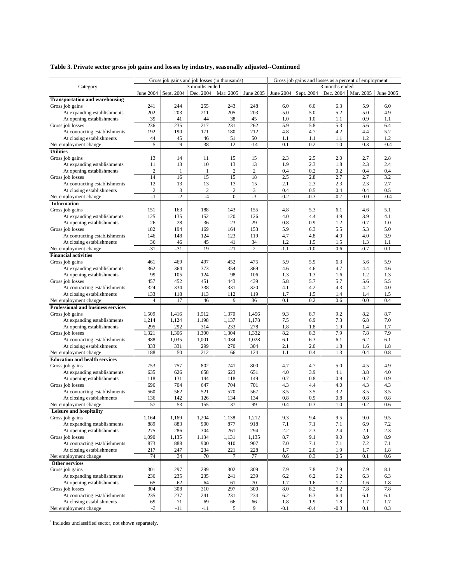## **Table 3. Private sector gross job gains and losses by industry, seasonally adjusted--Continued**

|                                       | Gross job gains and job losses (in thousands) |              |                        |                  |                         | Gross job gains and losses as a percent of employment |        |        |        |           |
|---------------------------------------|-----------------------------------------------|--------------|------------------------|------------------|-------------------------|-------------------------------------------------------|--------|--------|--------|-----------|
| Category                              | 3 months ended                                |              |                        |                  |                         | 3 months ended                                        |        |        |        |           |
|                                       | Sept. 2004<br>June 2004                       |              | Dec. 2004<br>Mar. 2005 |                  | June 2005               | June 2004   Sept. 2004<br>Dec. 2004<br>Mar. 2005      |        |        |        | June 2005 |
| <b>Transportation and warehousing</b> |                                               |              |                        |                  |                         |                                                       |        |        |        |           |
|                                       |                                               |              |                        |                  |                         |                                                       |        |        |        |           |
| Gross job gains                       | 241                                           | 244          | 255                    | 243              | 248                     | 6.0                                                   | 6.0    | 6.3    | 5.9    | 6.0       |
| At expanding establishments           | 202                                           | 203          | 211                    | 205              | 203                     | 5.0                                                   | 5.0    | 5.2    | 5.0    | 4.9       |
| At opening establishments             | 39                                            | 41           | 44                     | 38               | 45                      | 1.0                                                   | 1.0    | 1.1    | 0.9    | 1.1       |
| Gross job losses                      | 236                                           | 235          | 217                    | 231              | 262                     | 5.9                                                   | 5.8    | 5.3    | 5.6    | 6.4       |
| At contracting establishments         | 192                                           | 190          | 171                    | 180              | 212                     | 4.8                                                   | 4.7    | 4.2    | 4.4    | 5.2       |
| At closing establishments             | 44                                            | 45           | 46                     | 51               | 50                      | 1.1                                                   | 1.1    | 1.1    | 1.2    | 1.2       |
| Net employment change                 | 5                                             | 9            | 38                     | 12               | $-14$                   | 0.1                                                   | 0.2    | 1.0    | 0.3    | $-0.4$    |
| <b>Utilities</b>                      |                                               |              |                        |                  |                         |                                                       |        |        |        |           |
| Gross job gains                       | 13                                            | 14           | 11                     | 15               | 15                      | 2.3                                                   | 2.5    | 2.0    | 2.7    | 2.8       |
| At expanding establishments           | 11                                            | 13           | 10                     | 13               | 13                      | 1.9                                                   | 2.3    | 1.8    | 2.3    | 2.4       |
| At opening establishments             | $\overline{2}$                                | $\mathbf{1}$ | $\mathbf{1}$           | $\overline{2}$   | $\overline{\mathbf{c}}$ | 0.4                                                   | 0.2    | 0.2    | 0.4    | 0.4       |
| Gross job losses                      | 14                                            | 16           | 15                     | 15               | 18                      | 2.5                                                   | 2.8    | 2.7    | 2.7    | 3.2       |
| At contracting establishments         | 12                                            | 13           | 13                     | 13               | 15                      | 2.1                                                   | 2.3    | 2.3    | 2.3    | 2.7       |
| At closing establishments             | $\boldsymbol{2}$                              | 3            | $\overline{2}$         | $\overline{c}$   | 3                       | 0.4                                                   | 0.5    | 0.4    | 0.4    | 0.5       |
| Net employment change                 | $-1$                                          | $-2$         | $-4$                   | $\boldsymbol{0}$ | $-3$                    | $-0.2$                                                | $-0.3$ | $-0.7$ | 0.0    | $-0.4$    |
| Information                           |                                               |              |                        |                  |                         |                                                       |        |        |        |           |
| Gross job gains                       | 151                                           | 163          | 188                    | 143              | 155                     | 4.8                                                   | 5.3    | 6.1    | 4.6    | 5.1       |
| At expanding establishments           | 125                                           | 135          | 152                    | 120              | 126                     | 4.0                                                   | 4.4    | 4.9    | 3.9    | 4.1       |
|                                       |                                               |              | 36                     | 23               | 29                      |                                                       | 0.9    | 1.2    | 0.7    | 1.0       |
| At opening establishments             | 26                                            | 28           |                        |                  |                         | 0.8                                                   |        |        |        |           |
| Gross job losses                      | 182                                           | 194          | 169                    | 164              | 153                     | 5.9                                                   | 6.3    | 5.5    | 5.3    | 5.0       |
| At contracting establishments         | 146                                           | 148          | 124                    | 123              | 119                     | 4.7                                                   | 4.8    | 4.0    | 4.0    | 3.9       |
| At closing establishments             | 36                                            | 46           | 45                     | 41               | 34                      | 1.2                                                   | 1.5    | 1.5    | 1.3    | 1.1       |
| Net employment change                 | $-31$                                         | $-31$        | 19                     | $-21$            | $\overline{c}$          | $-1.1$                                                | $-1.0$ | 0.6    | $-0.7$ | 0.1       |
| <b>Financial activities</b>           |                                               |              |                        |                  |                         |                                                       |        |        |        |           |
| Gross job gains                       | 461                                           | 469          | 497                    | 452              | 475                     | 5.9                                                   | 5.9    | 6.3    | 5.6    | 5.9       |
| At expanding establishments           | 362                                           | 364          | 373                    | 354              | 369                     | 4.6                                                   | 4.6    | 4.7    | 4.4    | 4.6       |
| At opening establishments             | 99                                            | 105          | 124                    | 98               | 106                     | 1.3                                                   | 1.3    | 1.6    | 1.2    | 1.3       |
| Gross job losses                      | 457                                           | 452          | 451                    | 443              | 439                     | 5.8                                                   | 5.7    | 5.7    | 5.6    | 5.5       |
| At contracting establishments         | 324                                           | 334          | 338                    | 331              | 320                     | 4.1                                                   | 4.2    | 4.3    | 4.2    | 4.0       |
| At closing establishments             | 133                                           | 118          | 113                    | 112              | 119                     | 1.7                                                   | 1.5    | 1.4    | 1.4    | 1.5       |
| Net employment change                 | $\overline{4}$                                | 17           | 46                     | 9                | 36                      | 0.1                                                   | 0.2    | 0.6    | 0.0    | 0.4       |
| Professional and business services    |                                               |              |                        |                  |                         |                                                       |        |        |        |           |
| Gross job gains                       | 1,509                                         | 1,416        | 1,512                  | 1,370            | 1,456                   | 9.3                                                   | 8.7    | 9.2    | 8.2    | 8.7       |
| At expanding establishments           | 1,214                                         | 1,124        | 1,198                  | 1,137            | 1,178                   | 7.5                                                   | 6.9    | 7.3    | 6.8    | 7.0       |
| At opening establishments             | 295                                           | 292          | 314                    | 233              | 278                     | 1.8                                                   | 1.8    | 1.9    | 1.4    | 1.7       |
| Gross job losses                      | 1,321                                         | 1,366        | 1,300                  | 1,304            | 1,332                   | 8.2                                                   | 8.3    | 7.9    | 7.8    | 7.9       |
|                                       |                                               |              |                        |                  |                         |                                                       |        |        |        |           |
| At contracting establishments         | 988                                           | 1,035        | 1,001                  | 1,034            | 1,028                   | 6.1                                                   | 6.3    | 6.1    | 6.2    | 6.1       |
| At closing establishments             | 333                                           | 331          | 299                    | 270              | 304                     | 2.1                                                   | 2.0    | 1.8    | 1.6    | 1.8       |
| Net employment change                 | 188                                           | 50           | 212                    | 66               | 124                     | 1.1                                                   | 0.4    | 1.3    | 0.4    | 0.8       |
| <b>Education and health services</b>  |                                               |              |                        |                  |                         |                                                       |        |        |        |           |
| Gross job gains                       | 753                                           | 757          | 802                    | 741              | 800                     | 4.7                                                   | 4.7    | 5.0    | 4.5    | 4.9       |
| At expanding establishments           | 635                                           | 626          | 658                    | 623              | 651                     | 4.0                                                   | 3.9    | 4.1    | 3.8    | 4.0       |
| At opening establishments             | 118                                           | 131          | 144                    | 118              | 149                     | 0.7                                                   | 0.8    | 0.9    | 0.7    | 0.9       |
| Gross job losses                      | 696                                           | 704          | 647                    | 704              | 701                     | 4.3                                                   | 4.4    | 4.0    | 4.3    | 4.3       |
| At contracting establishments         | 560                                           | 562          | 521                    | 570              | 567                     | 3.5                                                   | 3.5    | 3.2    | 3.5    | 3.5       |
| At closing establishments             | 136                                           | 142          | 126                    | 134              | 134                     | 0.8                                                   | 0.9    | 0.8    | 0.8    | 0.8       |
| Net employment change                 | 57                                            | 53           | 155                    | 37               | 99                      | 0.4                                                   | 0.3    | 1.0    | 0.2    | 0.6       |
| Leisure and hospitality               |                                               |              |                        |                  |                         |                                                       |        |        |        |           |
| Gross job gains                       | 1,164                                         | 1,169        | 1,204                  | 1,138            | 1,212                   | 9.3                                                   | 9.4    | 9.5    | 9.0    | 9.5       |
| At expanding establishments           | 889                                           | 883          | 900                    | 877              | 918                     | 7.1                                                   | 7.1    | 7.1    | 6.9    | 7.2       |
| At opening establishments             | 275                                           | 286          | 304                    | 261              | 294                     | 2.2                                                   | 2.3    | 2.4    | 2.1    | 2.3       |
| Gross job losses                      | 1,090                                         | 1,135        | 1,134                  | 1,131            | 1,135                   | 8.7                                                   | 9.1    | 9.0    | 8.9    | 8.9       |
|                                       | 873                                           | 888          | 900                    | 910              | 907                     | 7.0                                                   |        | 7.1    | 7.2    |           |
| At contracting establishments         |                                               |              |                        |                  |                         |                                                       | 7.1    |        |        | 7.1       |
| At closing establishments             | 217                                           | 247          | 234                    | 221              | 228                     | 1.7                                                   | 2.0    | 1.9    | 1.7    | 1.8       |
| Net employment change                 | 74                                            | 34           | 70                     | $\tau$           | 77                      | 0.6                                                   | 0.3    | 0.5    | 0.1    | 0.6       |
| Other services                        |                                               |              |                        |                  |                         |                                                       |        |        |        |           |
| Gross job gains                       | 301                                           | 297          | 299                    | 302              | 309                     | 7.9                                                   | 7.8    | 7.9    | 7.9    | 8.1       |
| At expanding establishments           | 236                                           | 235          | 235                    | 241              | 239                     | 6.2                                                   | 6.2    | 6.2    | 6.3    | 6.3       |
| At opening establishments             | 65                                            | 62           | 64                     | 61               | 70                      | 1.7                                                   | 1.6    | 1.7    | 1.6    | 1.8       |
| Gross job losses                      | 304                                           | 308          | 310                    | 297              | 300                     | 8.0                                                   | 8.2    | 8.2    | 7.8    | 7.8       |
| At contracting establishments         | 235                                           | 237          | 241                    | 231              | 234                     | 6.2                                                   | 6.3    | 6.4    | 6.1    | 6.1       |
| At closing establishments             | 69                                            | 71           | 69                     | 66               | 66                      | 1.8                                                   | 1.9    | 1.8    | 1.7    | 1.7       |
| Net employment change                 | $-3$                                          | $-11$        | $-11$                  | 5                | 9                       | $-0.1$                                                | $-0.4$ | $-0.3$ | 0.1    | 0.3       |

<sup>1</sup> Includes unclassified sector, not shown separately.